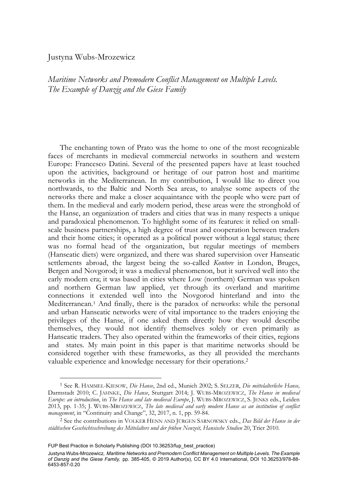# Justyna Wubs-Mrozewicz

*Maritime Networks and Premodern Conflict Management on Multiple Levels. The Example of Danzig and the Giese Family* 

The enchanting town of Prato was the home to one of the most recognizable faces of merchants in medieval commercial networks in southern and western Europe: Francesco Datini. Several of the presented papers have at least touched upon the activities, background or heritage of our patron host and maritime networks in the Mediterranean. In my contribution, I would like to direct you northwards, to the Baltic and North Sea areas, to analyse some aspects of the networks there and make a closer acquaintance with the people who were part of them. In the medieval and early modern period, these areas were the stronghold of the Hanse, an organization of traders and cities that was in many respects a unique and paradoxical phenomenon. To highlight some of its features: it relied on smallscale business partnerships, a high degree of trust and cooperation between traders and their home cities; it operated as a political power without a legal status; there was no formal head of the organization, but regular meetings of members (Hanseatic diets) were organized, and there was shared supervision over Hanseatic settlements abroad, the largest being the so-called *Kontore* in London, Bruges, Bergen and Novgorod; it was a medieval phenomenon, but it survived well into the early modern era; it was based in cities where Low (northern) German was spoken and northern German law applied, yet through its overland and maritime connections it extended well into the Novgorod hinterland and into the Mediterranean.1 And finally, there is the paradox of networks: while the personal and urban Hanseatic networks were of vital importance to the traders enjoying the privileges of the Hanse, if one asked them directly how they would describe themselves, they would not identify themselves solely or even primarily as Hanseatic traders. They also operated within the frameworks of their cities, regions and states. My main point in this paper is that maritime networks should be considered together with these frameworks, as they all provided the merchants valuable experience and knowledge necessary for their operations.2

<sup>1</sup> See R. HAMMEL-KIESOW, *Die Hanse*, 2nd ed., Munich 2002; S. SELZER, *Die mittelalterliche Hanse,*  Darmstadt 2010; C. JAHNKE, *Die Hanse*, Stuttgart 2014; J. WUBS-MROZEWICZ, *The Hanse in medieval Europe: an introduction*, in *The Hanse and late medieval Europe*, J. WUBS-MROZEWICZ, S. JENKS eds., Leiden 2013, pp. 1-35; J. WUBS-MROZEWICZ, *The late medieval and early modern Hanse as an institution of conflict management*, in "Continuity and Change", 32, 2017, n. 1, pp. 59-84. 2 See the contributions in VOLKER HENN AND JÜRGEN SARNOWSKY eds., *Das Bild der Hanse in der* 

*städtischen Geschichtsschreibung des Mittelalters und der frühen Neuzeit, Hansische Studien* 20, Trier 2010.

FUP Best Practice in Scholarly Publishing (DOI [10.36253/fup\\_best\\_practice\)](https://doi.org/10.36253/fup_best_practice)

Justyna Wubs-Mrozewicz*, Maritime Networks and Premodern Conflict Management on Multiple Levels. The Example of Danzig and the Giese Family,* pp. 385-405, © 2019 Author(s), [CC BY 4.0 International](http://creativecommons.org/licenses/by/4.0/legalcode), DOI [10.36253/978-88-](https://doi.org/10.36253/978-88-6453-857-0.20) [6453-857-0.20](https://doi.org/10.36253/978-88-6453-857-0.20)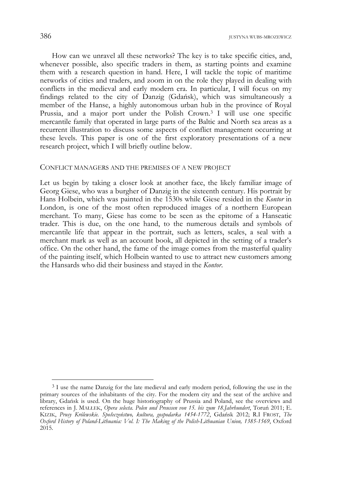How can we unravel all these networks? The key is to take specific cities, and, whenever possible, also specific traders in them, as starting points and examine them with a research question in hand. Here, I will tackle the topic of maritime networks of cities and traders, and zoom in on the role they played in dealing with conflicts in the medieval and early modern era. In particular, I will focus on my findings related to the city of Danzig (Gdańsk), which was simultaneously a member of the Hanse, a highly autonomous urban hub in the province of Royal Prussia, and a major port under the Polish Crown.3 I will use one specific mercantile family that operated in large parts of the Baltic and North sea areas as a recurrent illustration to discuss some aspects of conflict management occurring at these levels. This paper is one of the first exploratory presentations of a new research project, which I will briefly outline below.

# CONFLICT MANAGERS AND THE PREMISES OF A NEW PROJECT

Let us begin by taking a closer look at another face, the likely familiar image of Georg Giese, who was a burgher of Danzig in the sixteenth century. His portrait by Hans Holbein, which was painted in the 1530s while Giese resided in the *Kontor* in London, is one of the most often reproduced images of a northern European merchant. To many, Giese has come to be seen as the epitome of a Hanseatic trader. This is due, on the one hand, to the numerous details and symbols of mercantile life that appear in the portrait, such as letters, scales, a seal with a merchant mark as well as an account book, all depicted in the setting of a trader's office. On the other hand, the fame of the image comes from the masterful quality of the painting itself, which Holbein wanted to use to attract new customers among the Hansards who did their business and stayed in the *Kontor*.

<sup>&</sup>lt;sup>3</sup> I use the name Danzig for the late medieval and early modern period, following the use in the primary sources of the inhabitants of the city. For the modern city and the seat of the archive and library, Gdańsk is used. On the huge historiography of Prussia and Poland, see the overviews and references in J. MAŁŁEK, *Opera selecta. Polen und Preussen von 15. bis zum 18.Jahrhundert*, Toruń 2011; E. KIZIK, *Prusy Królewskie. Społeczeństwo, kultura, gospodarka 1454-1772*, Gdańsk 2012; R.I FROST, *The Oxford History of Poland-Lithuania: Vol. I: The Making of the Polish-Lithuanian Union, 1385-1569*, Oxford 2015.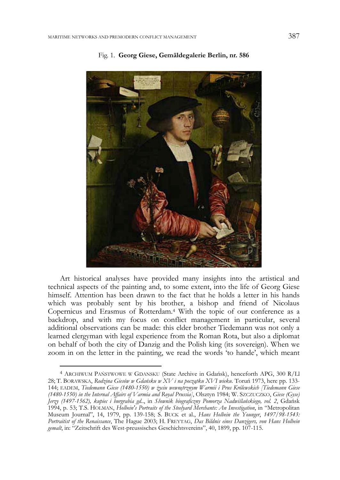

## Fig. 1. **Georg Giese, Gemäldegalerie Berlin, nr. 586**

Art historical analyses have provided many insights into the artistical and technical aspects of the painting and, to some extent, into the life of Georg Giese himself. Attention has been drawn to the fact that he holds a letter in his hands which was probably sent by his brother, a bishop and friend of Nicolaus Copernicus and Erasmus of Rotterdam.4 With the topic of our conference as a backdrop, and with my focus on conflict management in particular, several additional observations can be made: this elder brother Tiedemann was not only a learned clergyman with legal experience from the Roman Rota, but also a diplomat on behalf of both the city of Danzig and the Polish king (its sovereign). When we zoom in on the letter in the painting, we read the words 'to hande', which meant

<sup>4</sup> ARCHIWUM PAŃSTWOWE W GDANSKU (State Archive in Gdańsk), henceforth APG, 300 R/Ll 28; T. BORAWSKA, *Rodzina Giesów w Gdańsku w XV i na początku XVI wieku*. Toruń 1973, here pp. 133- 144; EADEM, *Tiedemann Giese (1480-1550) w życiu wewnętrznym Warmii i Prus Królewskich [Tiedemann Giese (1480-1550) in the Internal Affairs of Varmia and Royal Prussia]*, Olsztyn 1984; W. SZCZUCZKO, *Giese (Gyse) Jerzy (1497-1562), kupiec i burgrabia gd.*., in *Słownik biograficzny Pomorza Nadwiślańskiego, vol. 2*, Gdańsk 1994, p. 53; T.S. HOLMAN, *Holbein's Portraits of the Steelyard Merchants: An Investigation*, in "Metropolitan Museum Journal", 14, 1979, pp. 139-158; S. BUCK et al., *Hans Holbein the Younger*, *1497/98-1543: Portraitist of the Renaissance*, The Hague 2003; H. FREYTAG, *Das Bildnis eines Danzigers, von Hans Holbein gemalt*, in: "Zeitschrift des West-preussisches Geschichtsvereins", 40, 1899, pp. 107-115.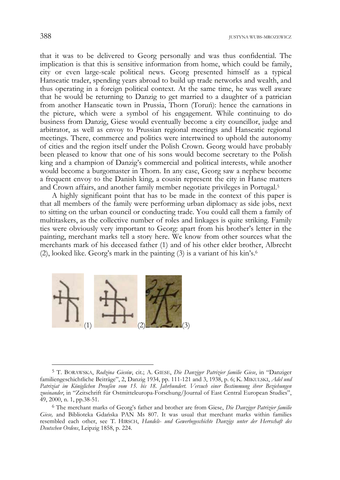that it was to be delivered to Georg personally and was thus confidential. The implication is that this is sensitive information from home, which could be family, city or even large-scale political news. Georg presented himself as a typical Hanseatic trader, spending years abroad to build up trade networks and wealth, and thus operating in a foreign political context. At the same time, he was well aware that he would be returning to Danzig to get married to a daughter of a patrician from another Hanseatic town in Prussia, Thorn (Toruń): hence the carnations in the picture, which were a symbol of his engagement. While continuing to do business from Danzig, Giese would eventually become a city councillor, judge and arbitrator, as well as envoy to Prussian regional meetings and Hanseatic regional meetings. There, commerce and politics were intertwined to uphold the autonomy of cities and the region itself under the Polish Crown. Georg would have probably been pleased to know that one of his sons would become secretary to the Polish king and a champion of Danzig's commercial and political interests, while another would become a burgomaster in Thorn. In any case, Georg saw a nephew become a frequent envoy to the Danish king, a cousin represent the city in Hanse matters and Crown affairs, and another family member negotiate privileges in Portugal.5

A highly significant point that has to be made in the context of this paper is that all members of the family were performing urban diplomacy as side jobs, next to sitting on the urban council or conducting trade. You could call them a family of multitaskers, as the collective number of roles and linkages is quite striking. Family ties were obviously very important to Georg: apart from his brother's letter in the painting, merchant marks tell a story here. We know from other sources what the merchants mark of his deceased father (1) and of his other elder brother, Albrecht (2), looked like. Georg's mark in the painting (3) is a variant of his kin's.6



<sup>5</sup> T. BORAWSKA, *Rodzina Giesów*, cit.; A. GIESE, *Die Danziger Patrizier familie Giese*, in "Danziger familiengeschichtliche Beiträge", 2, Danzig 1934, pp. 111-121 and 3, 1938, p. 6; K. MIKULSKI, *Adel und Patriziat im Königlichen Preußen vom 15. bis 18. Jahrhundert. Versuch einer Bestimmung ihrer Beziehungen zueinander*, in "Zeitschrift für Ostmitteleuropa-Forschung/Journal of East Central European Studies", 49, 2000, n. 1, pp.38-51.

<sup>6</sup> The merchant marks of Georg's father and brother are from Giese, *Die Danziger Patrizier familie Giese,* and Biblioteka Gdańska PAN Ms 807. It was usual that merchant marks within families resembled each other, see T. HIRSCH, *Handels- und Gewerbegeschichte Danzigs unter der Herrschaft des Deutschen Ordens*, Leipzig 1858, p. 224.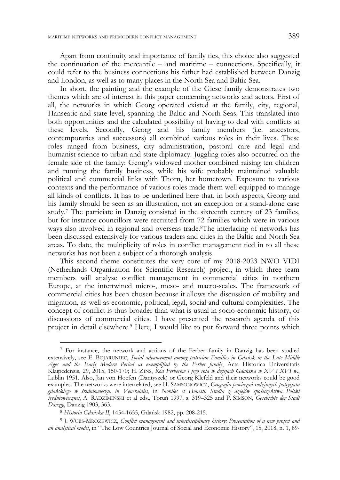Apart from continuity and importance of family ties, this choice also suggested the continuation of the mercantile – and maritime – connections. Specifically, it could refer to the business connections his father had established between Danzig and London, as well as to many places in the North Sea and Baltic Sea.

In short, the painting and the example of the Giese family demonstrates two themes which are of interest in this paper concerning networks and actors. First of all, the networks in which Georg operated existed at the family, city, regional, Hanseatic and state level, spanning the Baltic and North Seas. This translated into both opportunities and the calculated possibility of having to deal with conflicts at these levels. Secondly, Georg and his family members (i.e. ancestors, contemporaries and successors) all combined various roles in their lives. These roles ranged from business, city administration, pastoral care and legal and humanist science to urban and state diplomacy. Juggling roles also occurred on the female side of the family: Georg's widowed mother combined raising ten children and running the family business, while his wife probably maintained valuable political and commercial links with Thorn, her hometown. Exposure to various contexts and the performance of various roles made them well equipped to manage all kinds of conflicts. It has to be underlined here that, in both aspects, Georg and his family should be seen as an illustration, not an exception or a stand-alone case study.7 The patriciate in Danzig consisted in the sixteenth century of 23 families, but for instance councillors were recruited from 72 families which were in various ways also involved in regional and overseas trade.<sup>8</sup>The interlacing of networks has been discussed extensively for various traders and cities in the Baltic and North Sea areas. To date, the multiplicity of roles in conflict management tied in to all these networks has not been a subject of a thorough analysis.

This second theme constitutes the very core of my 2018-2023 NWO VIDI (Netherlands Organization for Scientific Research) project, in which three team members will analyse conflict management in commercial cities in northern Europe, at the intertwined micro-, meso- and macro-scales. The framework of commercial cities has been chosen because it allows the discussion of mobility and migration, as well as economic, political, legal, social and cultural complexities. The concept of conflict is thus broader than what is usual in socio-economic history, or discussions of commercial cities. I have presented the research agenda of this project in detail elsewhere.9 Here, I would like to put forward three points which

<sup>7</sup> For instance, the network and actions of the Ferber family in Danzig has been studied extensively, see E. BOJARUNIEC, *Social advancement among patrician Families in Gdańsk in the Late Middle Ages and the Early Modern Period as exemplified by the Ferber family*, Acta Historica Universitatis Klaipedensis, 29, 2015, 150-170; H. ZINS, *Ród Ferberów i jego rola w dziejach Gdańska w XV i XVI w*., Lublin 1951. Also, Jan von Hoefen (Dantyszek) or Georg Klefeld and their networks could be good examples. The networks were interrelated, see H. SAMSONOWICZ, *Geografia powiązań rodzinnych patrycjatu gdańskiego w średniowieczu. in Venerabiles*, in *Nobiles et Honesti. Studia z dziejów społeczeństwa Polski średniowiecznej*, A. RADZIMIŃSKI et al eds., Toruń 1997, s. 319–325 and P. SIMSON, *Geschichte der Stadt Danzig*, Danzig 1903, 363.

<sup>8</sup> *Historia Gdańska II*, 1454-1655, Gdańsk 1982, pp. 208-215.

<sup>9</sup> J. WUBS-MROZEWICZ, *Conflict management and interdisciplinary history: Presentation of a new project and an analytical model*, in "The Low Countries Journal of Social and Economic History", 15, 2018, n. 1, 89-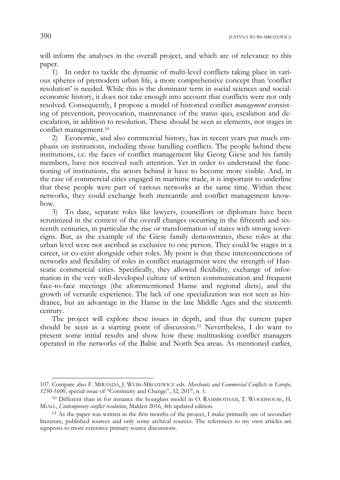will inform the analyses in the overall project, and which are of relevance to this paper.

1) In order to tackle the dynamic of multi-level conflicts taking place in various spheres of premodern urban life, a more comprehensive concept than 'conflict resolution' is needed. While this is the dominant term in social sciences and socialeconomic history, it does not take enough into account that conflicts were not only resolved. Consequently, I propose a model of historical conflict *management* consisting of prevention, provocation, maintenance of the status quo, escalation and deescalation, in addition to resolution. These should be seen as elements, not stages in conflict management.10

2) Economic, and also commercial history, has in recent years put much emphasis on institutions, including those handling conflicts. The people behind these institutions, i.e. the faces of conflict management like Georg Giese and his family members, have not received such attention. Yet in order to understand the functioning of institutions, the actors behind it have to become more visible. And, in the case of commercial cities engaged in maritime trade, it is important to underline that these people were part of various networks at the same time. Within these networks, they could exchange both mercantile and conflict management knowhow.

3) To date, separate roles like lawyers, councillors or diplomats have been scrutinized in the context of the overall changes occurring in the fifteenth and sixteenth centuries, in particular the rise or transformation of states with strong sovereigns. But, as the example of the Giese family demonstrates, these roles at the urban level were not ascribed as exclusive to one person. They could be stages in a career, or co-exist alongside other roles. My point is that these interconnections of networks and flexibility of roles in conflict management were the strength of Hanseatic commercial cities. Specifically, they allowed flexibility, exchange of information in the very well-developed culture of written communication and frequent face-to-face meetings (the aforementioned Hanse and regional diets), and the growth of versatile experience. The lack of one specialization was not seen as hindrance, but an advantage in the Hanse in the late Middle Ages and the sixteenth century.

The project will explore these issues in depth, and thus the current paper should be seen as a starting point of discussion.11 Nevertheless, I do want to present some initial results and show how these multitasking conflict managers operated in the networks of the Baltic and North Sea areas. As mentioned earlier,

 <sup>107.</sup> Compare also F. MIRANDA, J. WUBS-MROZEWICZ eds. *Merchants and Commercial Conflicts in Europe, 1250-1600*, special issue of "Continuity and Change", 32, 2017, n. 1*.*

 $10$  Different than in for instance the hourglass model in O. RAMSBOTHAM, T. WOODHOUSE, H. MIALL, *Contemporary conflict resolution*, Malden 2016, 4th updated edition.<br><sup>11</sup> As the paper was written in the first months of the project, I make primarily use of secondary

literature, published sources and only some archival sources. The references to my own articles are signposts to more extensive primary source discussions.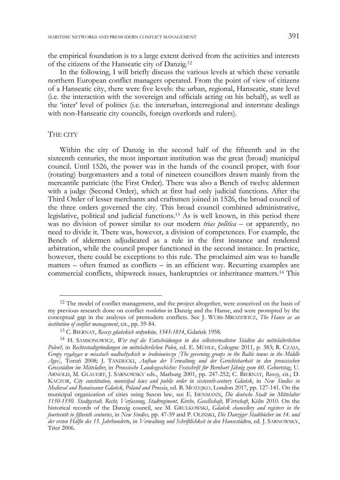the empirical foundation is to a large extent derived from the activities and interests of the citizens of the Hanseatic city of Danzig.12

In the following, I will briefly discuss the various levels at which these versatile northern European conflict managers operated. From the point of view of citizens of a Hanseatic city, there were five levels: the urban, regional, Hanseatic, state level (i.e. the interaction with the sovereign and officials acting on his behalf), as well as the 'inter' level of politics (i.e. the interurban, interregional and interstate dealings with non-Hanseatic city councils, foreign overlords and rulers).

## THE CITY

-

Within the city of Danzig in the second half of the fifteenth and in the sixteenth centuries, the most important institution was the great (broad) municipal council. Until 1526, the power was in the hands of the council proper, with four (rotating) burgomasters and a total of nineteen councillors drawn mainly from the mercantile patriciate (the First Order). There was also a Bench of twelve aldermen with a judge (Second Order), which at first had only judicial functions. After the Third Order of lesser merchants and craftsmen joined in 1526, the broad council of the three orders governed the city. This broad council combined administrative, legislative, political and judicial functions.13 As is well known, in this period there was no division of power similar to our modern *trias politica* – or apparently, no need to divide it. There was, however, a division of competences. For example, the Bench of aldermen adjudicated as a rule in the first instance and rendered arbitration, while the council proper functioned in the second instance. In practice, however, there could be exceptions to this rule. The proclaimed aim was to handle matters – often framed as conflicts – in an efficient way. Recurring examples are commercial conflicts, shipwreck issues, bankruptcies or inheritance matters.14 This

<sup>&</sup>lt;sup>12</sup> The model of conflict management, and the project altogether, were conceived on the basis of my previous research done on conflict *resolution* in Danzig and the Hanse, and were prompted by the conceptual gap in the analyses of premodern conflicts. See J. WUBS-MROZEWICZ, *The Hanse as an institution of conflict management*, cit., pp. 59-84.

<sup>13</sup> C. BIERNAT, *Recesy gdańskich ordynków, 1545-1814*, Gdańsk 1958.

<sup>14</sup> H. SAMSONOWICZ, *Wer traf die Entscheidungen in den selbstverwalteten Städten des mittelalterlichen Polen?,* in *Rechtsstadtgründungen im mittelalterlichen Polen*, ed. E. MÜHLE, Cologne 2011, p. 383; R. CZAJA, *Grupy rządzące w miastach nadbałtyckich w średniowieczu [The governing groups in the Baltic towns in the Middle Ages]*, Toruń 2008; J. TANDECKI, *Aufbau der Verwaltung und der Gerichtsbarkeit in den preussischen Grosstädten im Mittelalter*, in *Preussische Landesgeschichte: Festschrift für Bernhart Jähnig zum 60. Geburtstag*, U. ARNOLD, M. GLAUERT, J. SARNOWSKY eds., Marburg 2001, pp. 247-252; C. BIERNAT, *Recesy*, cit.; D. KACZOR, *City constitution, municipal laws and public order in sixteenth-century Gdańsk*, in *New Studies in Medieval and Renaissance Gdańsk, Poland and Prussia*, ed. B. MOŻEJKO, London 2017, pp. 127-141. On the municipal organization of cities using Saxon law, see E. ISENMANN, *Die deutsche Stadt im Mittelalter 1150-1550. Stadtgestalt, Recht, Verfassung, Stadtregiment, Kirche, Gesellschaft, Wirtschaft*, Köln 2010. On the historical records of the Danzig council, see M. GRULKOWSKI, *Gdańsk chancellery and registers in the fourteenth to fifteenth centuries*, in *New Studies,* pp. 47-59 and P. OLIŃSKI, *Die Danziger Stadtbücher im 14. und der ersten Hälfte des 15. Jahrhundert*s, in *Verwaltung und Schriftlichkeit in den Hansestädten*, ed. J. SARNOWSKY, Trier 2006.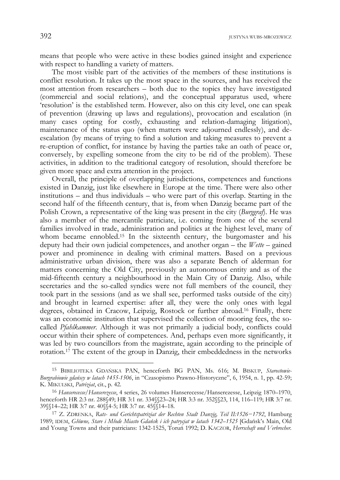means that people who were active in these bodies gained insight and experience with respect to handling a variety of matters.

The most visible part of the activities of the members of these institutions is conflict resolution. It takes up the most space in the sources, and has received the most attention from researchers – both due to the topics they have investigated (commercial and social relations), and the conceptual apparatus used, where 'resolution' is the established term. However, also on this city level, one can speak of prevention (drawing up laws and regulations), provocation and escalation (in many cases opting for costly, exhausting and relation-damaging litigation), maintenance of the status quo (when matters were adjourned endlessly), and deescalation (by means of trying to find a solution and taking measures to prevent a re-eruption of conflict, for instance by having the parties take an oath of peace or, conversely, by expelling someone from the city to be rid of the problem). These activities, in addition to the traditional category of resolution, should therefore be given more space and extra attention in the project.

Overall, the principle of overlapping jurisdictions, competences and functions existed in Danzig, just like elsewhere in Europe at the time. There were also other institutions – and thus individuals – who were part of this overlap. Starting in the second half of the fifteenth century, that is, from when Danzig became part of the Polish Crown, a representative of the king was present in the city (*Burggraf*). He was also a member of the mercantile patriciate, i.e. coming from one of the several families involved in trade, administration and politics at the highest level, many of whom became ennobled.<sup>15</sup> In the sixteenth century, the burgomaster and his deputy had their own judicial competences, and another organ – the *Wette* – gained power and prominence in dealing with criminal matters. Based on a previous administrative urban division, there was also a separate Bench of alderman for matters concerning the Old City, previously an autonomous entity and as of the mid-fifteenth century a neighbourhood in the Main City of Danzig. Also, while secretaries and the so-called syndics were not full members of the council, they took part in the sessions (and as we shall see, performed tasks outside of the city) and brought in learned expertise: after all, they were the only ones with legal degrees, obtained in Cracow, Leipzig, Rostock or further abroad.16 Finally, there was an economic institution that supervised the collection of mooring fees, the socalled *Pfahlkammer*. Although it was not primarily a judicial body, conflicts could occur within their sphere of competences. And, perhaps even more significantly, it was led by two councillors from the magistrate, again according to the principle of rotation.17 The extent of the group in Danzig, their embeddedness in the networks

<sup>15</sup> BIBILIOTEKA GDAŃSKA PAN, henceforth BG PAN, Ms. 616; M. BISKUP, *Starostowie-Burgrabiowie gdańscy w latach 1455-1506*, in "Czasopismo Prawno-Historyczne", 6, 1954, n. 1, pp. 42-59; K. MIKULSKI, *Patriziat*, cit., p. 42.

<sup>16</sup> *Hanserecesse/Hanserezesse*, 4 series, 26 volumes Hanserecesse/Hanserezesse, Leipzig 1870–1970, henceforth HR 2:3 nr. 288§49; HR 3:1 nr. 334§§23–24; HR 3:3 nr. 352§§23, 114, 116–119; HR 3:7 nr. 39§§14–22; HR 3:7 nr. 40§§4-5; HR 3:7 nr. 45§§14–18.

<sup>17</sup> Z. ZDRENKA, *Rats- und Gerichtspatriziat der Rechten Stadt Danzig, Teil II:1526−1792*, Hamburg 1989; IDEM, *Główne, Stare i Młode Miasto Gdańsk i ich patrycjat w latach 1342*–*1525* [Gdańsk's Main, Old and Young Towns and their patricians: 1342-1525, Toruń 1992; D. KACZOR, *Herrschaft und Verbrecher.*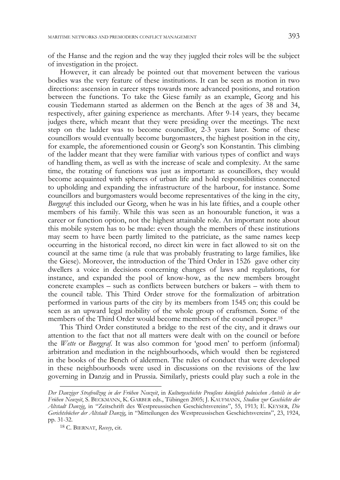of the Hanse and the region and the way they juggled their roles will be the subject of investigation in the project.

However, it can already be pointed out that movement between the various bodies was the very feature of these institutions. It can be seen as motion in two directions: ascension in career steps towards more advanced positions, and rotation between the functions. To take the Giese family as an example, Georg and his cousin Tiedemann started as aldermen on the Bench at the ages of 38 and 34, respectively, after gaining experience as merchants. After 9-14 years, they became judges there, which meant that they were presiding over the meetings. The next step on the ladder was to become councillor, 2-3 years later. Some of these councillors would eventually become burgomasters, the highest position in the city, for example, the aforementioned cousin or Georg's son Konstantin. This climbing of the ladder meant that they were familiar with various types of conflict and ways of handling them, as well as with the increase of scale and complexity. At the same time, the rotating of functions was just as important: as councillors, they would become acquainted with spheres of urban life and hold responsibilities connected to upholding and expanding the infrastructure of the harbour, for instance. Some councillors and burgomasters would become representatives of the king in the city, *Burggraf*: this included our Georg, when he was in his late fifties, and a couple other members of his family. While this was seen as an honourable function, it was a career or function option, not the highest attainable role. An important note about this mobile system has to be made: even though the members of these institutions may seem to have been partly limited to the patriciate, as the same names keep occurring in the historical record, no direct kin were in fact allowed to sit on the council at the same time (a rule that was probably frustrating to large families, like the Giese). Moreover, the introduction of the Third Order in 1526 gave other city dwellers a voice in decisions concerning changes of laws and regulations, for instance, and expanded the pool of know-how, as the new members brought concrete examples – such as conflicts between butchers or bakers – with them to the council table. This Third Order strove for the formalization of arbitration performed in various parts of the city by its members from 1545 on; this could be seen as an upward legal mobility of the whole group of craftsmen. Some of the members of the Third Order would become members of the council proper.18

This Third Order constituted a bridge to the rest of the city, and it draws our attention to the fact that not all matters were dealt with on the council or before the *Wette* or *Burggraf*. It was also common for 'good men' to perform (informal) arbitration and mediation in the neighbourhoods, which would then be registered in the books of the Bench of aldermen. The rules of conduct that were developed in these neighbourhoods were used in discussions on the revisions of the law governing in Danzig and in Prussia. Similarly, priests could play such a role in the

*Der Danziger Strafvollzug in der Frühen Neuzeit*, in *Kulturgeschichte Preußens königlich polnischen Anteils in der Frühen Neuzeit*, S. BECKMANN, K. GARBER eds., Tübingen 2005; J. KAUFMANN, *Studien zur Geschichte der Altstadt Danzig*, in "Zeitschrift des Westpreussischen Geschichtsvereins", 55, 1913; E. KEYSER, *Die Gerichtsbücher der Altstadt Danzig*, in "Mitteilungen des Westpreussischen Geschichtsvereins", 23, 1924, pp. 31-32.

<sup>18</sup> C. BIERNAT, *Recesy*, cit.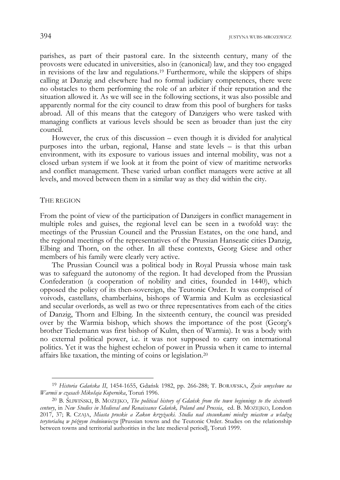parishes, as part of their pastoral care. In the sixteenth century, many of the provosts were educated in universities, also in (canonical) law, and they too engaged in revisions of the law and regulations.19 Furthermore, while the skippers of ships calling at Danzig and elsewhere had no formal judiciary competences, there were no obstacles to them performing the role of an arbiter if their reputation and the situation allowed it. As we will see in the following sections, it was also possible and apparently normal for the city council to draw from this pool of burghers for tasks abroad. All of this means that the category of Danzigers who were tasked with managing conflicts at various levels should be seen as broader than just the city council.

However, the crux of this discussion – even though it is divided for analytical purposes into the urban, regional, Hanse and state levels – is that this urban environment, with its exposure to various issues and internal mobility, was not a closed urban system if we look at it from the point of view of maritime networks and conflict management. These varied urban conflict managers were active at all levels, and moved between them in a similar way as they did within the city.

#### THE REGION

-

From the point of view of the participation of Danzigers in conflict management in multiple roles and guises, the regional level can be seen in a twofold way: the meetings of the Prussian Council and the Prussian Estates, on the one hand, and the regional meetings of the representatives of the Prussian Hanseatic cities Danzig, Elbing and Thorn, on the other. In all these contexts, Georg Giese and other members of his family were clearly very active.

The Prussian Council was a political body in Royal Prussia whose main task was to safeguard the autonomy of the region. It had developed from the Prussian Confederation (a cooperation of nobility and cities, founded in 1440), which opposed the policy of its then-sovereign, the Teutonic Order. It was comprised of voivods, castellans, chamberlains, bishops of Warmia and Kulm as ecclesiastical and secular overlords, as well as two or three representatives from each of the cities of Danzig, Thorn and Elbing. In the sixteenth century, the council was presided over by the Warmia bishop, which shows the importance of the post (Georg's brother Tiedemann was first bishop of Kulm, then of Warmia). It was a body with no external political power, i.e. it was not supposed to carry on international politics. Yet it was the highest echelon of power in Prussia when it came to internal affairs like taxation, the minting of coins or legislation.20

<sup>19</sup> *Historia Gdańska II*, 1454-1655, Gdańsk 1982, pp. 266-288; T. BORAWSKA, *Życie umysłowe na Warmii w czasach Mikołaja Kopernika*, Toruń 1996.

<sup>20</sup> B. ŚLIWIŃSKI, B. MOŻEJKO, *The political history of Gdańsk from the town beginnings to the sixteenth century*, in *New Studies in Medieval and Renaissance Gdańsk, Poland and Prussia*, ed. B. MOŻEJKO, London 2017, 37; R. CZAJA, *Miasta pruskie a Zakon krzyżacki. Studia nad stosunkami miedzy miastem a władzą terytorialną w późnym średniowieczu* [Prussian towns and the Teutonic Order. Studies on the relationship between towns and territorial authorities in the late medieval period], Toruń 1999.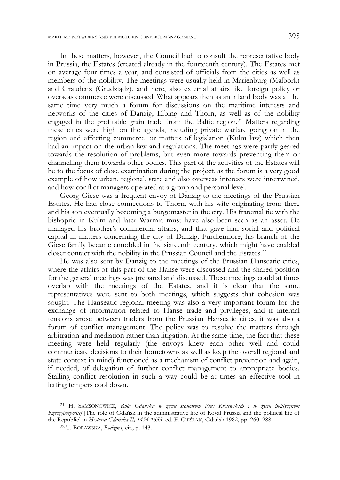In these matters, however, the Council had to consult the representative body in Prussia, the Estates (created already in the fourteenth century). The Estates met on average four times a year, and consisted of officials from the cities as well as members of the nobility. The meetings were usually held in Marienburg (Malbork) and Graudenz (Grudziądz), and here, also external affairs like foreign policy or overseas commerce were discussed. What appears then as an inland body was at the same time very much a forum for discussions on the maritime interests and networks of the cities of Danzig, Elbing and Thorn, as well as of the nobility engaged in the profitable grain trade from the Baltic region.21 Matters regarding these cities were high on the agenda, including private warfare going on in the region and affecting commerce, or matters of legislation (Kulm law) which then had an impact on the urban law and regulations. The meetings were partly geared towards the resolution of problems, but even more towards preventing them or channelling them towards other bodies. This part of the activities of the Estates will be to the focus of close examination during the project, as the forum is a very good example of how urban, regional, state and also overseas interests were intertwined, and how conflict managers operated at a group and personal level.

Georg Giese was a frequent envoy of Danzig to the meetings of the Prussian Estates. He had close connections to Thorn, with his wife originating from there and his son eventually becoming a burgomaster in the city. His fraternal tie with the bishopric in Kulm and later Warmia must have also been seen as an asset. He managed his brother's commercial affairs, and that gave him social and political capital in matters concerning the city of Danzig. Furthermore, his branch of the Giese family became ennobled in the sixteenth century, which might have enabled closer contact with the nobility in the Prussian Council and the Estates.22

He was also sent by Danzig to the meetings of the Prussian Hanseatic cities, where the affairs of this part of the Hanse were discussed and the shared position for the general meetings was prepared and discussed. These meetings could at times overlap with the meetings of the Estates, and it is clear that the same representatives were sent to both meetings, which suggests that cohesion was sought. The Hanseatic regional meeting was also a very important forum for the exchange of information related to Hanse trade and privileges, and if internal tensions arose between traders from the Prussian Hanseatic cities, it was also a forum of conflict management. The policy was to resolve the matters through arbitration and mediation rather than litigation. At the same time, the fact that these meeting were held regularly (the envoys knew each other well and could communicate decisions to their hometowns as well as keep the overall regional and state context in mind) functioned as a mechanism of conflict prevention and again, if needed, of delegation of further conflict management to appropriate bodies. Stalling conflict resolution in such a way could be at times an effective tool in letting tempers cool down.

<sup>21</sup> H. SAMSONOWICZ, *Rola Gdańska w życiu stanowym Prus Królewskich i w życiu politycznym Rzeczypospolitej* [The role of Gdańsk in the administrative life of Royal Prussia and the political life of the Republic] in *Historia Gdańska II, 1454-1655,* ed. E. CIEŚLAK, Gdańsk 1982, pp. 260–288. 22 T. BORAWSKA, *Rodzina*, cit., p. 143.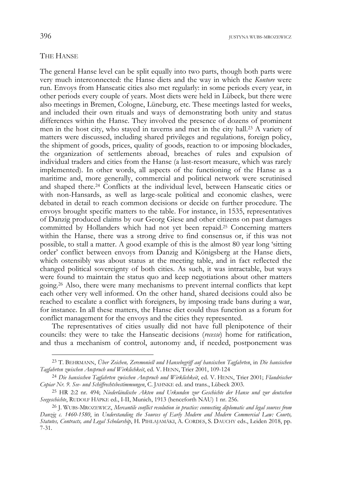# THE HANSE

j

The general Hanse level can be split equally into two parts, though both parts were very much interconnected: the Hanse diets and the way in which the *Kontore* were run. Envoys from Hanseatic cities also met regularly: in some periods every year, in other periods every couple of years. Most diets were held in Lübeck, but there were also meetings in Bremen, Cologne, Lüneburg, etc. These meetings lasted for weeks, and included their own rituals and ways of demonstrating both unity and status differences within the Hanse. They involved the presence of dozens of prominent men in the host city, who stayed in taverns and met in the city hall.23 A variety of matters were discussed, including shared privileges and regulations, foreign policy, the shipment of goods, prices, quality of goods, reaction to or imposing blockades, the organization of settlements abroad, breaches of rules and expulsion of individual traders and cities from the Hanse (a last-resort measure, which was rarely implemented). In other words, all aspects of the functioning of the Hanse as a maritime and, more generally, commercial and political network were scrutinised and shaped there.24 Conflicts at the individual level, between Hanseatic cities or with non-Hansards, as well as large-scale political and economic clashes, were debated in detail to reach common decisions or decide on further procedure. The envoys brought specific matters to the table. For instance, in 1535, representatives of Danzig produced claims by our Georg Giese and other citizens on past damages committed by Hollanders which had not yet been repaid.25 Concerning matters within the Hanse, there was a strong drive to find consensus or, if this was not possible, to stall a matter. A good example of this is the almost 80 year long 'sitting order' conflict between envoys from Danzig and Königsberg at the Hanse diets, which ostensibly was about status at the meeting table, and in fact reflected the changed political sovereignty of both cities. As such, it was intractable, but ways were found to maintain the status quo and keep negotiations about other matters going.26 Also, there were many mechanisms to prevent internal conflicts that kept each other very well informed. On the other hand, shared decisions could also be reached to escalate a conflict with foreigners, by imposing trade bans during a war, for instance. In all these matters, the Hanse diet could thus function as a forum for conflict management for the envoys and the cities they represented.

The representatives of cities usually did not have full plenipotence of their councils: they were to take the Hanseatic decisions (*recesse*) home for ratification, and thus a mechanism of control, autonomy and, if needed, postponement was

<sup>23</sup> T. BEHRMANN, *Über Zeichen, Zeremoniell und Hansebegriff auf hansischen Tagfahrten*, in *Die hansischen Tagfahrten zwischen Anspruch und Wirklichkeit*, ed. V. HENN, Trier 2001, 109-124

<sup>24</sup> *Die hansischen Tagfahrten zwischen Anspruch und Wirklichkeit*, ed. V. HENN, Trier 2001; *Flandrischer Copiar Nr. 9. See- und Schiffrechtsbestimmungen*, C. JAHNKE ed. and trans., Lübeck 2003.

<sup>25</sup> HR 2:2 nr. 494; *Niederländische Akten und Urkunden zur Geschichte der Hanse und zur deutschen Seegeschichte*, RUDOLF HÄPKE ed., I-II, Munich, 1913 (henceforth NAU) 1 nr. 256.

<sup>26</sup> J. WUBS-MROZEWICZ, *Mercantile conflict resolution in practice: connecting diplomatic and legal sources from Danzig c. 1460-1580*, in *Understanding the Sources of Early Modern and Modern Commercial Law: Courts, Statutes, Contracts, and Legal Scholarship*, H. PIHLAJAMÄKI, A. CORDES, S. DAUCHY eds., Leiden 2018, pp. 7-31.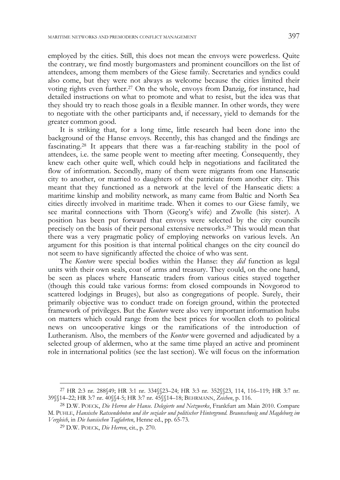employed by the cities. Still, this does not mean the envoys were powerless. Quite the contrary, we find mostly burgomasters and prominent councillors on the list of attendees, among them members of the Giese family. Secretaries and syndics could also come, but they were not always as welcome because the cities limited their voting rights even further.27 On the whole, envoys from Danzig, for instance, had detailed instructions on what to promote and what to resist, but the idea was that they should try to reach those goals in a flexible manner. In other words, they were to negotiate with the other participants and, if necessary, yield to demands for the greater common good.

It is striking that, for a long time, little research had been done into the background of the Hanse envoys. Recently, this has changed and the findings are fascinating.28 It appears that there was a far-reaching stability in the pool of attendees, i.e. the same people went to meeting after meeting. Consequently, they knew each other quite well, which could help in negotiations and facilitated the flow of information. Secondly, many of them were migrants from one Hanseatic city to another, or married to daughters of the patriciate from another city. This meant that they functioned as a network at the level of the Hanseatic diets: a maritime kinship and mobility network, as many came from Baltic and North Sea cities directly involved in maritime trade. When it comes to our Giese family, we see marital connections with Thorn (Georg's wife) and Zwolle (his sister). A position has been put forward that envoys were selected by the city councils precisely on the basis of their personal extensive networks.29 This would mean that there was a very pragmatic policy of employing networks on various levels. An argument for this position is that internal political changes on the city council do not seem to have significantly affected the choice of who was sent.

The *Kontore* were special bodies within the Hanse: they *did* function as legal units with their own seals, coat of arms and treasury. They could, on the one hand, be seen as places where Hanseatic traders from various cities stayed together (though this could take various forms: from closed compounds in Novgorod to scattered lodgings in Bruges), but also as congregations of people. Surely, their primarily objective was to conduct trade on foreign ground, within the protected framework of privileges. But the *Kontore* were also very important information hubs on matters which could range from the best prices for woollen cloth to political news on uncooperative kings or the ramifications of the introduction of Lutheranism. Also, the members of the *Kontor* were governed and adjudicated by a selected group of aldermen, who at the same time played an active and prominent role in international politics (see the last section). We will focus on the information

<sup>27</sup> HR 2:3 nr. 288§49; HR 3:1 nr. 334§§23–24; HR 3:3 nr. 352§§23, 114, 116–119; HR 3:7 nr. 39§§14–22; HR 3:7 nr. 40§§4-5; HR 3:7 nr. 45§§14–18; BEHRMANN, *Zeichen*, p. 116.

<sup>28</sup> D.W. POECK, *Die Herren der Hanse. Delegierte und Netzwerke*, Frankfurt am Main 2010. Compare M. PUHLE, *Hansische Ratssendeboten und ihr sozialer und politischer Hintergrund. Braunschweig und Magdeburg im Vergleich*, in *Die hansischen Tagfahrten*, Henne ed., pp. 65-73.

<sup>29</sup> D.W. POECK, *Die Herren*, cit., p. 270.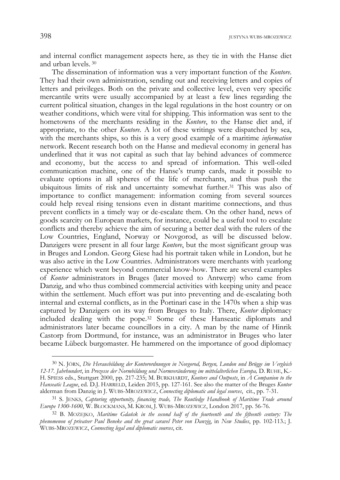and internal conflict management aspects here, as they tie in with the Hanse diet and urban levels. 30

The dissemination of information was a very important function of the *Kontore*. They had their own administration, sending out and receiving letters and copies of letters and privileges. Both on the private and collective level, even very specific mercantile writs were usually accompanied by at least a few lines regarding the current political situation, changes in the legal regulations in the host country or on weather conditions, which were vital for shipping. This information was sent to the hometowns of the merchants residing in the *Kontore*, to the Hanse diet and, if appropriate, to the other *Kontore*. A lot of these writings were dispatched by sea, with the merchants ships, so this is a very good example of a maritime *information* network. Recent research both on the Hanse and medieval economy in general has underlined that it was not capital as such that lay behind advances of commerce and economy, but the access to and spread of information. This well-oiled communication machine, one of the Hanse's trump cards, made it possible to evaluate options in all spheres of the life of merchants, and thus push the ubiquitous limits of risk and uncertainty somewhat further.31 This was also of importance to conflict management: information coming from several sources could help reveal rising tensions even in distant maritime connections, and thus prevent conflicts in a timely way or de-escalate them. On the other hand, news of goods scarcity on European markets, for instance, could be a useful tool to escalate conflicts and thereby achieve the aim of securing a better deal with the rulers of the Low Countries, England, Norway or Novgorod, as will be discussed below. Danzigers were present in all four large *Kontore*, but the most significant group was in Bruges and London. Georg Giese had his portrait taken while in London, but he was also active in the Low Countries. Administrators were merchants with yearlong experience which went beyond commercial know-how. There are several examples of *Kontor* administrators in Bruges (later moved to Antwerp) who came from Danzig, and who thus combined commercial activities with keeping unity and peace within the settlement. Much effort was put into preventing and de-escalating both internal and external conflicts, as in the Portinari case in the 1470s when a ship was captured by Danzigers on its way from Bruges to Italy. There, *Kontor* diplomacy included dealing with the pope.32 Some of these Hanseatic diplomats and administrators later became councillors in a city. A man by the name of Hinrik Castorp from Dortmund, for instance, was an administrator in Bruges who later became Lübeck burgomaster. He hammered on the importance of good diplomacy

<sup>30</sup> N. JÖRN, *Die Herausbildung der Kontorordnungen in Novgorod, Bergen, London und Brügge im Vergleich 12-17. Jahrhundert*, in *Prozesse der Normbildung und Normveränderung im mittelalterlichen Europa,* D. RUHE, K.- H. SPIESS eds., Stuttgart 2000, pp. 217-235; M. BURKHARDT, *Kontors and Outposts*, in *A Companion to the Hanseatic League*, ed. D.J. HARRELD, Leiden 2015, pp. 127-161. See also the matter of the Bruges *Kontor* alderman from Danzig in J. WUBS-MROZEWICZ, *Connecting diplomatic and legal sources*, cit., pp. 7-31.

<sup>31</sup> S. JENKS, *Capturing opportunity, financing trade, The Routledge Handbook of Maritime Trade around Europe 1300-1600*, W. BLOCKMANS, M. KROM, J. WUBS-MROZEWICZ, London 2017, pp. 56-76.

<sup>32</sup> B. MOŻEJKO, *Maritime Gdańsk in the second half of the fourteenth and the fifteenth century: The phenomenon of privateer Paul Beneke and the great caravel Peter von Danzig*, in *New Studies*, pp. 102-113.; J. WUBS-MROZEWICZ, *Connecting legal and diplomatic sources*, cit.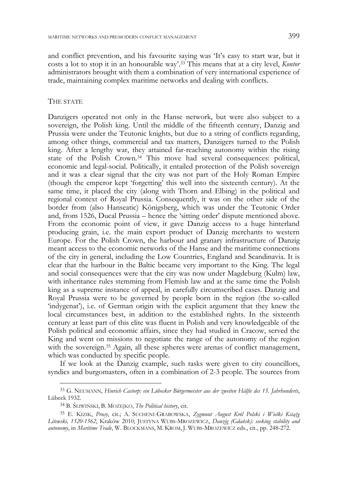and conflict prevention, and his favourite saying was 'It's easy to start war, but it costs a lot to stop it in an honourable way'.33 This means that at a city level, *Kontor* administrators brought with them a combination of very international experience of trade, maintaining complex maritime networks and dealing with conflicts.

## THE STATE

-

Danzigers operated not only in the Hanse network, but were also subject to a sovereign, the Polish king. Until the middle of the fifteenth century, Danzig and Prussia were under the Teutonic knights, but due to a string of conflicts regarding, among other things, commercial and tax matters, Danzigers turned to the Polish king. After a lengthy war, they attained far-reaching autonomy within the rising state of the Polish Crown.34 This move had several consequences: political, economic and legal-social. Politically, it entailed protection of the Polish sovereign and it was a clear signal that the city was not part of the Holy Roman Empire (though the emperor kept 'forgetting' this well into the sixteenth century). At the same time, it placed the city (along with Thorn and Elbing) in the political and regional context of Royal Prussia. Consequently, it was on the other side of the border from (also Hanseatic) Königsberg, which was under the Teutonic Order and, from 1526, Ducal Prussia – hence the 'sitting order' dispute mentioned above. From the economic point of view, it gave Danzig access to a huge hinterland producing grain, i.e. the main export product of Danzig merchants to western Europe. For the Polish Crown, the harbour and granary infrastructure of Danzig meant access to the economic networks of the Hanse and the maritime connections of the city in general, including the Low Countries, England and Scandinavia. It is clear that the harbour in the Baltic became very important to the King. The legal and social consequences were that the city was now under Magdeburg (Kulm) law, with inheritance rules stemming from Flemish law and at the same time the Polish king as a supreme instance of appeal, in carefully circumscribed cases. Danzig and Royal Prussia were to be governed by people born in the region (the so-called 'indygenat'), i.e. of German origin with the explicit argument that they knew the local circumstances best, in addition to the established rights. In the sixteenth century at least part of this elite was fluent in Polish and very knowledgeable of the Polish political and economic affairs, since they had studied in Cracow, served the King and went on missions to negotiate the range of the autonomy of the region with the sovereign.<sup>35</sup> Again, all these spheres were arenas of conflict management, which was conducted by specific people.

If we look at the Danzig example, such tasks were given to city councillors, syndics and burgomasters, often in a combination of 2-3 people. The sources from

<sup>33</sup> G. NEUMANN, *Hinrich Castorp: ein Lübecker Bürgermeister aus der zweiten Hälfte des 15. Jahrhunderts*, Lübeck 1932.

<sup>34</sup> B. ŚLIWIŃSKI, B. MOŻEJKO, *The Political history*, cit.

<sup>35</sup> E. KIZIK, *Prusy*, cit.; A. SUCHENI-GRABOWSKA, *Zygmunt August Król Polski i Wielki Książę Litewski, 1520-1562*, Kraków 2010; JUSTYNA WUBS-MROZEWICZ, *Danzig (Gdańsk): seeking stability and autonomy*, in *Maritime Trade*, W. BLOCKMANS, M. KROM, J. WUBS-MROZEWICZ eds., cit., pp. 248-272.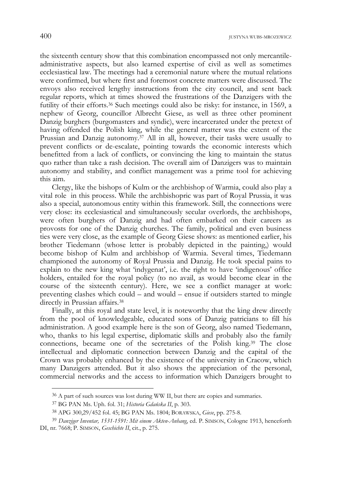the sixteenth century show that this combination encompassed not only mercantileadministrative aspects, but also learned expertise of civil as well as sometimes ecclesiastical law. The meetings had a ceremonial nature where the mutual relations were confirmed, but where first and foremost concrete matters were discussed. The envoys also received lengthy instructions from the city council, and sent back regular reports, which at times showed the frustrations of the Danzigers with the futility of their efforts.36 Such meetings could also be risky: for instance, in 1569, a nephew of Georg, councillor Albrecht Giese, as well as three other prominent Danzig burghers (burgomasters and syndic), were incarcerated under the pretext of having offended the Polish king, while the general matter was the extent of the Prussian and Danzig autonomy.<sup>37</sup> All in all, however, their tasks were usually to prevent conflicts or de-escalate, pointing towards the economic interests which benefitted from a lack of conflicts, or convincing the king to maintain the status quo rather than take a rash decision. The overall aim of Danzigers was to maintain autonomy and stability, and conflict management was a prime tool for achieving this aim.

Clergy, like the bishops of Kulm or the archbishop of Warmia, could also play a vital role in this process. While the archbishopric was part of Royal Prussia, it was also a special, autonomous entity within this framework. Still, the connections were very close: its ecclesiastical and simultaneously secular overlords, the archbishops, were often burghers of Danzig and had often embarked on their careers as provosts for one of the Danzig churches. The family, political and even business ties were very close, as the example of Georg Giese shows: as mentioned earlier, his brother Tiedemann (whose letter is probably depicted in the painting,) would become bishop of Kulm and archbishop of Warmia. Several times, Tiedemann championed the autonomy of Royal Prussia and Danzig. He took special pains to explain to the new king what 'indygenat', i.e. the right to have 'indigenous' office holders, entailed for the royal policy (to no avail, as would become clear in the course of the sixteenth century). Here, we see a conflict manager at work: preventing clashes which could – and would – ensue if outsiders started to mingle directly in Prussian affairs.38

Finally, at this royal and state level, it is noteworthy that the king drew directly from the pool of knowledgeable, educated sons of Danzig patricians to fill his administration. A good example here is the son of Georg, also named Tiedemann, who, thanks to his legal expertise, diplomatic skills and probably also the family connections, became one of the secretaries of the Polish king.39 The close intellectual and diplomatic connection between Danzig and the capital of the Crown was probably enhanced by the existence of the university in Cracow, which many Danzigers attended. But it also shows the appreciation of the personal, commercial networks and the access to information which Danzigers brought to

<sup>&</sup>lt;sup>36</sup> A part of such sources was lost during WW II, but there are copies and summaries.

<sup>37</sup> BG PAN Ms. Uph. fol. 31; *Historia Gdańska II*, p. 303.

<sup>38</sup> APG 300,29/452 fol. 45; BG PAN Ms. 1804; BORAWSKA, *Giese*, pp. 275-8.

<sup>39</sup> *Danziger Inventar, 1531-1591: Mit einem Akten-Anhang*, ed. P. SIMSON, Cologne 1913, henceforth DI, nr. 7668; P. SIMSON, *Geschichte II*, cit., p. 275.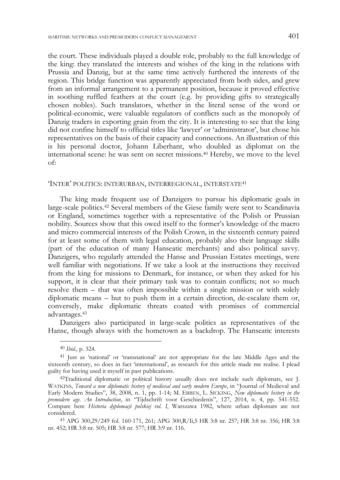the court. These individuals played a double role, probably to the full knowledge of the king: they translated the interests and wishes of the king in the relations with Prussia and Danzig, but at the same time actively furthered the interests of the region. This bridge function was apparently appreciated from both sides, and grew from an informal arrangement to a permanent position, because it proved effective in soothing ruffled feathers at the court (e.g. by providing gifts to strategically chosen nobles). Such translators, whether in the literal sense of the word or political-economic, were valuable regulators of conflicts such as the monopoly of Danzig traders in exporting grain from the city. It is interesting to see that the king did not confine himself to official titles like 'lawyer' or 'administrator', but chose his representatives on the basis of their capacity and connections. An illustration of this is his personal doctor, Johann Liberhant, who doubled as diplomat on the international scene: he was sent on secret missions.40 Hereby, we move to the level of:

# 'INTER' POLITICS: INTERURBAN, INTERREGIONAL, INTERSTATE41

The king made frequent use of Danzigers to pursue his diplomatic goals in large-scale politics.42 Several members of the Giese family were sent to Scandinavia or England, sometimes together with a representative of the Polish or Prussian nobility. Sources show that this owed itself to the former's knowledge of the macro and micro commercial interests of the Polish Crown, in the sixteenth century paired for at least some of them with legal education, probably also their language skills (part of the education of many Hanseatic merchants) and also political savvy. Danzigers, who regularly attended the Hanse and Prussian Estates meetings, were well familiar with negotiations. If we take a look at the instructions they received from the king for missions to Denmark, for instance, or when they asked for his support, it is clear that their primary task was to contain conflicts; not so much resolve them – that was often impossible within a single mission or with solely diplomatic means – but to push them in a certain direction, de-escalate them or, conversely, make diplomatic threats coated with promises of commercial advantages.43

Danzigers also participated in large-scale politics as representatives of the Hanse, though always with the hometown as a backdrop. The Hanseatic interests

<sup>40</sup> *Ibid*., p. 324.

<sup>41</sup> Just as 'national' or 'transnational' are not appropriate for the late Middle Ages and the sixteenth century, so does in fact 'international', as research for this article made me realise. I plead guilty for having used it myself in past publications.

<sup>42</sup>Traditional diplomatic or political history usually does not include such diplomats, see J. WATKINS, *Toward a new diplomatic history of medieval and early modern Europe*, in "Journal of Medieval and Early Modern Studies", 38, 2008, n. 1, pp. 1-14; M. EBBEN, L. SICKING, *New diplomatic history in the premodern age. An Introduction*, in "Tijdschrift voor Geschiedenis", 127, 2014, n. 4, pp. 541-552. Compare here *Historia dyplomacji polskiej vol. I*, Warszawa 1982, where urban diplomats are not considered.

<sup>43</sup> APG 300,29/249 fol. 160-171, 261; APG 300,R/Ii,5 HR 3:8 nr. 257; HR 3:8 nr. 356; HR 3:8 nr. 452; HR 3:8 nr. 505; HR 3:8 nr. 577; HR 3:9 nr. 116.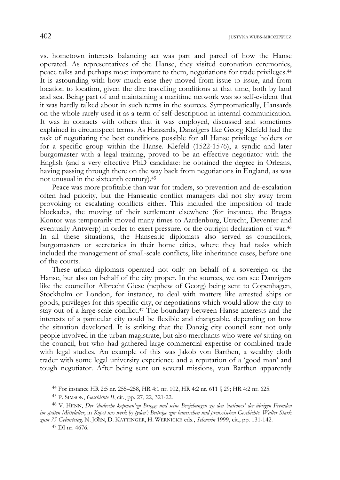vs. hometown interests balancing act was part and parcel of how the Hanse operated. As representatives of the Hanse, they visited coronation ceremonies, peace talks and perhaps most important to them, negotiations for trade privileges.44 It is astounding with how much ease they moved from issue to issue, and from location to location, given the dire travelling conditions at that time, both by land and sea. Being part of and maintaining a maritime network was so self-evident that it was hardly talked about in such terms in the sources. Symptomatically, Hansards on the whole rarely used it as a term of self-description in internal communication. It was in contacts with others that it was employed, discussed and sometimes explained in circumspect terms. As Hansards, Danzigers like Georg Klefeld had the task of negotiating the best conditions possible for all Hanse privilege holders or for a specific group within the Hanse. Klefeld (1522-1576), a syndic and later burgomaster with a legal training, proved to be an effective negotiator with the English (and a very effective PhD candidate: he obtained the degree in Orleans, having passing through there on the way back from negotiations in England, as was not unusual in the sixteenth century).45

Peace was more profitable than war for traders, so prevention and de-escalation often had priority, but the Hanseatic conflict managers did not shy away from provoking or escalating conflicts either. This included the imposition of trade blockades, the moving of their settlement elsewhere (for instance, the Bruges Kontor was temporarily moved many times to Aardenburg, Utrecht, Deventer and eventually Antwerp) in order to exert pressure, or the outright declaration of war.46 In all these situations, the Hanseatic diplomats also served as councillors, burgomasters or secretaries in their home cities, where they had tasks which included the management of small-scale conflicts, like inheritance cases, before one of the courts.

These urban diplomats operated not only on behalf of a sovereign or the Hanse, but also on behalf of the city proper. In the sources, we can see Danzigers like the councillor Albrecht Giese (nephew of Georg) being sent to Copenhagen, Stockholm or London, for instance, to deal with matters like arrested ships or goods, privileges for this specific city, or negotiations which would allow the city to stay out of a large-scale conflict.47 The boundary between Hanse interests and the interests of a particular city could be flexible and changeable, depending on how the situation developed. It is striking that the Danzig city council sent not only people involved in the urban magistrate, but also merchants who were *not* sitting on the council, but who had gathered large commercial expertise or combined trade with legal studies. An example of this was Jakob von Barthen, a wealthy cloth trader with some legal university experience and a reputation of a 'good man' and tough negotiator. After being sent on several missions, von Barthen apparently

<sup>44</sup> For instance HR 2:5 nr. 255–258, HR 4:1 nr. 102, HR 4:2 nr. 611 § 29; HR 4:2 nr. 625.

<sup>45</sup> P. SIMSON, *Geschichte II*, cit., pp. 27, 22, 321-22.

<sup>46</sup> V. HENN, *Der 'dudesche kopman'zu Brügge und seine Beziehungen zu den 'nationes' der übrigen Fremden im späten Mittelalter*, in *Kopet uns werk by tyden': Beiträge zur hansischen und preussischen Geschichte. Walter Stark zum 75 Geburtstag,* N. JÖRN, D. KATTINGER, H. WERNICKE eds., *Schwerin* 1999, cit., pp. 131-142.

<sup>47</sup> DI nr. 4676.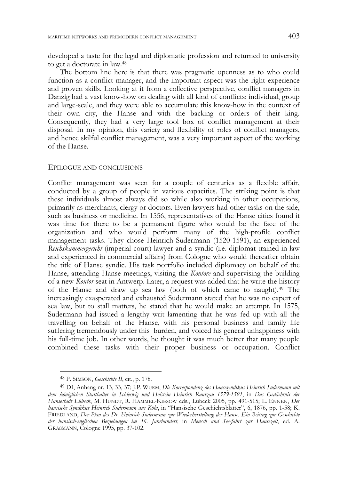developed a taste for the legal and diplomatic profession and returned to university to get a doctorate in law.48

The bottom line here is that there was pragmatic openness as to who could function as a conflict manager, and the important aspect was the right experience and proven skills. Looking at it from a collective perspective, conflict managers in Danzig had a vast know-how on dealing with all kind of conflicts: individual, group and large-scale, and they were able to accumulate this know-how in the context of their own city, the Hanse and with the backing or orders of their king. Consequently, they had a very large tool box of conflict management at their disposal. In my opinion, this variety and flexibility of roles of conflict managers, and hence skilful conflict management, was a very important aspect of the working of the Hanse.

#### EPILOGUE AND CONCLUSIONS

Conflict management was seen for a couple of centuries as a flexible affair, conducted by a group of people in various capacities. The striking point is that these individuals almost always did so while also working in other occupations, primarily as merchants, clergy or doctors. Even lawyers had other tasks on the side, such as business or medicine. In 1556, representatives of the Hanse cities found it was time for there to be a permanent figure who would be the face of the organization and who would perform many of the high-profile conflict management tasks. They chose Heinrich Sudermann (1520-1591), an experienced *Reichskammergericht* (imperial court) lawyer and a syndic (i.e. diplomat trained in law and experienced in commercial affairs) from Cologne who would thereafter obtain the title of Hanse syndic. His task portfolio included diplomacy on behalf of the Hanse, attending Hanse meetings, visiting the *Kontore* and supervising the building of a new *Kontor* seat in Antwerp. Later, a request was added that he write the history of the Hanse and draw up sea law (both of which came to naught).49 The increasingly exasperated and exhausted Sudermann stated that he was no expert of sea law, but to stall matters, he stated that he would make an attempt. In 1575, Sudermann had issued a lengthy writ lamenting that he was fed up with all the travelling on behalf of the Hanse, with his personal business and family life suffering tremendously under this burden, and voiced his general unhappiness with his full-time job. In other words, he thought it was much better that many people combined these tasks with their proper business or occupation. Conflict

<sup>48</sup> P. SIMSON, *Geschichte II*, cit., p. 178.

<sup>49</sup> DI, Anhang nr. 13, 33, 37; J.P. WURM, *Die Korrespondenz des Hansesyndikus Heinrich Sudermann mit dem königlichen Statthalter in Schleswig und Holstein Heinrich Rantzau 1579-1591*, in *Das Gedächtnis der Hansestadt Lübeck*, M. HUNDT, R. HAMMEL-KIESOW eds., Lübeck 2005, pp. 491-515; L. ENNEN, *Der hansische Syndikus Heinrich Sudermann aus Köln*, in "Hansische Geschichtsblätter", 6, 1876, pp. 1-58; K. FRIEDLAND, *Der Plan des Dr. Heinrich Sudermann zur Wiederherstellung der Hanse. Ein Beitrag zur Geschichte der hansisch-englischen Beziehungen im 16. Jahrhundert*, in *Mensch und Seefahrt zur Hansezeit*, ed. A. GRAßMANN, Cologne 1995, pp. 37-102.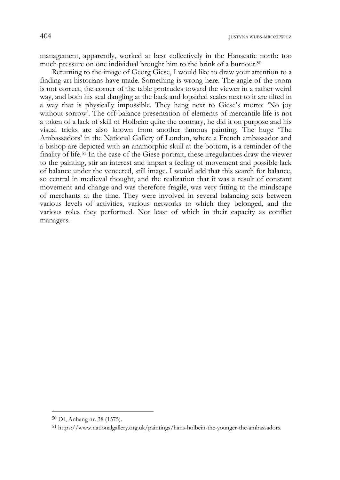management, apparently, worked at best collectively in the Hanseatic north: too much pressure on one individual brought him to the brink of a burnout.<sup>50</sup>

Returning to the image of Georg Giese, I would like to draw your attention to a finding art historians have made. Something is wrong here. The angle of the room is not correct, the corner of the table protrudes toward the viewer in a rather weird way, and both his seal dangling at the back and lopsided scales next to it are tilted in a way that is physically impossible. They hang next to Giese's motto: 'No joy without sorrow'. The off-balance presentation of elements of mercantile life is not a token of a lack of skill of Holbein: quite the contrary, he did it on purpose and his visual tricks are also known from another famous painting. The huge 'The Ambassadors' in the National Gallery of London, where a French ambassador and a bishop are depicted with an anamorphic skull at the bottom, is a reminder of the finality of life.51 In the case of the Giese portrait, these irregularities draw the viewer to the painting, stir an interest and impart a feeling of movement and possible lack of balance under the veneered, still image. I would add that this search for balance, so central in medieval thought, and the realization that it was a result of constant movement and change and was therefore fragile, was very fitting to the mindscape of merchants at the time. They were involved in several balancing acts between various levels of activities, various networks to which they belonged, and the various roles they performed. Not least of which in their capacity as conflict managers.

<sup>50</sup> DI, Anhang nr. 38 (1575).

<sup>51</sup> https://www.nationalgallery.org.uk/paintings/hans-holbein-the-younger-the-ambassadors.